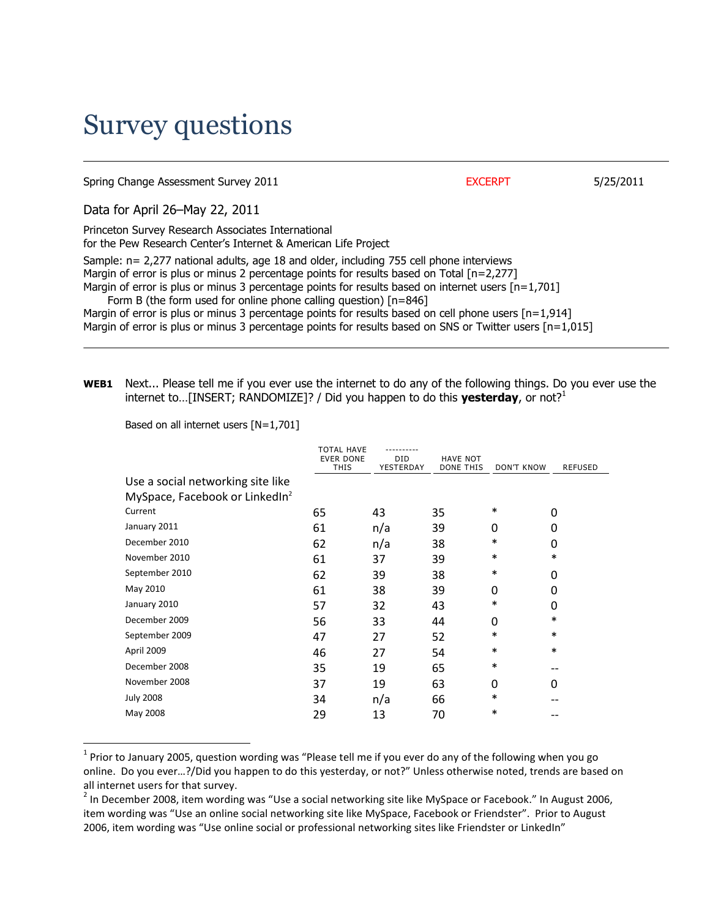## Survey questions

Spring Change Assessment Survey 2011 **EXCERPT** 5/25/2011

Data for April 26–May 22, 2011

Princeton Survey Research Associates International for the Pew Research Center's Internet & American Life Project Sample: n= 2,277 national adults, age 18 and older, including 755 cell phone interviews Margin of error is plus or minus 2 percentage points for results based on Total [n=2,277] Margin of error is plus or minus 3 percentage points for results based on internet users  $[n=1,701]$  Form B (the form used for online phone calling question) [n=846] Margin of error is plus or minus 3 percentage points for results based on cell phone users  $[n=1,914]$ 

Margin of error is plus or minus 3 percentage points for results based on SNS or Twitter users  $[n=1,015]$ 

**WEB1** Next... Please tell me if you ever use the internet to do any of the following things. Do you ever use the internet to...[INSERT; RANDOMIZE]? / Did you happen to do this **yesterday**, or not?<sup>1</sup>

Based on all internet users [N=1,701]

 $\overline{a}$ 

|                                            | <b>TOTAL HAVE</b><br><b>EVER DONE</b><br><b>THIS</b> | <b>DID</b><br>YESTERDAY | <b>HAVE NOT</b><br>DONE THIS | <b>DON'T KNOW</b> | <b>REFUSED</b> |
|--------------------------------------------|------------------------------------------------------|-------------------------|------------------------------|-------------------|----------------|
| Use a social networking site like          |                                                      |                         |                              |                   |                |
| MySpace, Facebook or LinkedIn <sup>2</sup> |                                                      |                         |                              |                   |                |
| Current                                    | 65                                                   | 43                      | 35                           | $\ast$            | 0              |
| January 2011                               | 61                                                   | n/a                     | 39                           | 0                 | 0              |
| December 2010                              | 62                                                   | n/a                     | 38                           | $\ast$            | 0              |
| November 2010                              | 61                                                   | 37                      | 39                           | $\ast$            | $\ast$         |
| September 2010                             | 62                                                   | 39                      | 38                           | $\ast$            | 0              |
| May 2010                                   | 61                                                   | 38                      | 39                           | $\Omega$          | 0              |
| January 2010                               | 57                                                   | 32                      | 43                           | $\ast$            | 0              |
| December 2009                              | 56                                                   | 33                      | 44                           | $\Omega$          | $\ast$         |
| September 2009                             | 47                                                   | 27                      | 52                           | $\ast$            | $\ast$         |
| April 2009                                 | 46                                                   | 27                      | 54                           | $\ast$            | $\ast$         |
| December 2008                              | 35                                                   | 19                      | 65                           | $\ast$            |                |
| November 2008                              | 37                                                   | 19                      | 63                           | 0                 | 0              |
| <b>July 2008</b>                           | 34                                                   | n/a                     | 66                           | $\ast$            |                |
| May 2008                                   | 29                                                   | 13                      | 70                           | $\ast$            |                |

 $^1$  Prior to January 2005, question wording was "Please tell me if you ever do any of the following when you go online. Do you ever…?/Did you happen to do this yesterday, or not?" Unless otherwise noted, trends are based on all internet users for that survey.

 $^2$  In December 2008, item wording was "Use a social networking site like MySpace or Facebook." In August 2006, item wording was "Use an online social networking site like MySpace, Facebook or Friendster". Prior to August 2006, item wording was "Use online social or professional networking sites like Friendster or LinkedIn"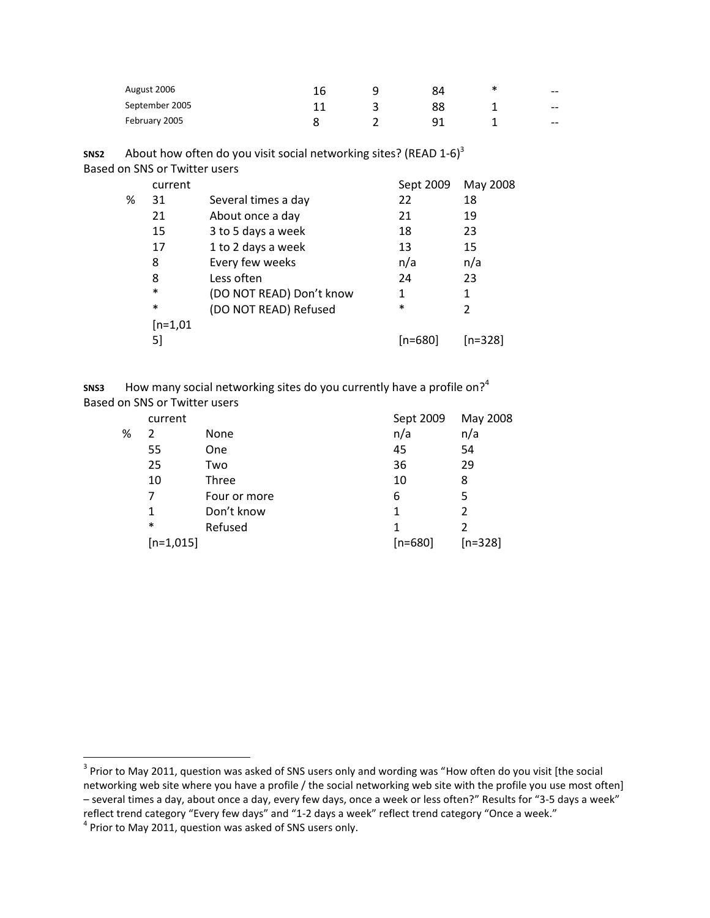| August 2006    | 16 | 84 | $- -$ |
|----------------|----|----|-------|
| September 2005 |    | 88 | $- -$ |
| February 2005  |    | q1 | $- -$ |

**SNS2** About how often do you visit social networking sites? (READ 1-6)<sup>3</sup>

| May 2008 |
|----------|
|          |
|          |
|          |
|          |
|          |
|          |
|          |
|          |
|          |
|          |
| [n=328]  |
|          |

**SNS3** How many social networking sites do you currently have a profile on?<sup>4</sup> Based on SNS or Twitter users

|   | current     |              | Sept 2009 | May 2008      |
|---|-------------|--------------|-----------|---------------|
| ℅ | 2           | None         | n/a       | n/a           |
|   | 55          | One          | 45        | 54            |
|   | 25          | Two          | 36        | 29            |
|   | 10          | Three        | 10        | 8             |
|   | 7           | Four or more | 6         | 5             |
|   | 1           | Don't know   | 1         | $\mathcal{P}$ |
|   | $\ast$      | Refused      | 1         |               |
|   | $[n=1,015]$ |              | $[n=680]$ | $[n=328]$     |
|   |             |              |           |               |

l

 $^3$  Prior to May 2011, question was asked of SNS users only and wording was "How often do you visit [the social networking web site where you have a profile / the social networking web site with the profile you use most often] – several times a day, about once a day, every few days, once a week or less often?" Results for "3-5 days a week" reflect trend category "Every few days" and "1-2 days a week" reflect trend category "Once a week."

 $<sup>4</sup>$  Prior to May 2011, question was asked of SNS users only.</sup>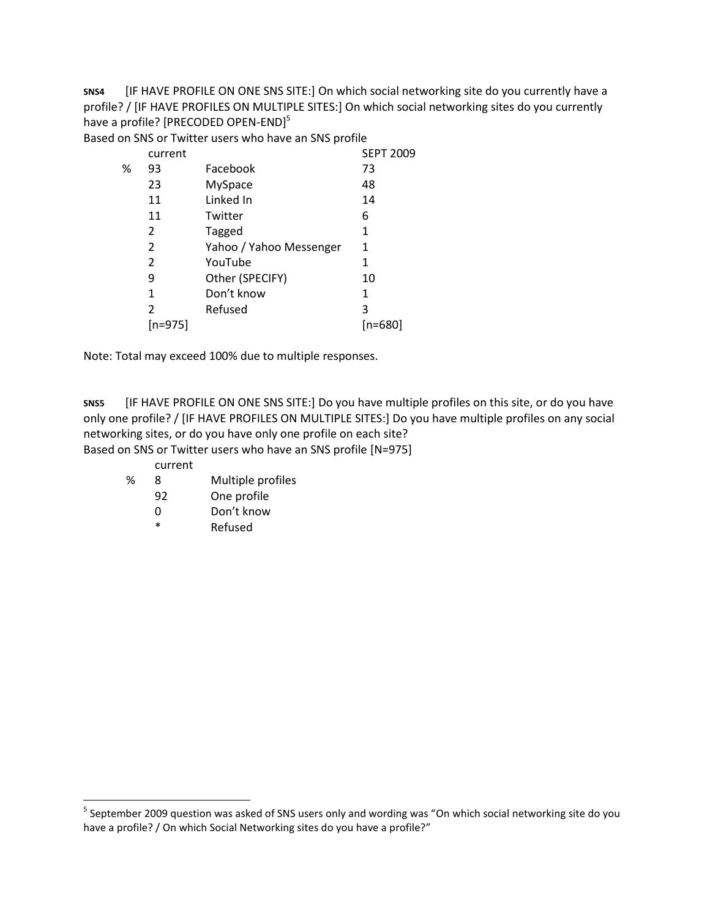**SNS4** [IF HAVE PROFILE ON ONE SNS SITE:] On which social networking site do you currently have a profile? / [IF HAVE PROFILES ON MULTIPLE SITES:] On which social networking sites do you currently have a profile? [PRECODED OPEN-END]<sup>5</sup>

Based on SNS or Twitter users who have an SNS profile

|   | current |                         | <b>SEPT 2009</b> |
|---|---------|-------------------------|------------------|
| ℅ | 93      | Facebook                | 73               |
|   | 23      | <b>MySpace</b>          | 48               |
|   | 11      | Linked In               | 14               |
|   | 11      | Twitter                 | 6                |
|   | 2       | Tagged                  | 1                |
|   | 2       | Yahoo / Yahoo Messenger | 1                |
|   | 2       | YouTube                 | 1                |
|   | 9       | Other (SPECIFY)         | 10               |
|   | 1       | Don't know              | 1                |
|   | 2       | Refused                 | 3                |
|   | [n=975] |                         | [n=680]          |

Note: Total may exceed 100% due to multiple responses.

**SNS5** [IF HAVE PROFILE ON ONE SNS SITE:] Do you have multiple profiles on this site, or do you have only one profile? / [IF HAVE PROFILES ON MULTIPLE SITES:] Do you have multiple profiles on any social networking sites, or do you have only one profile on each site?

Based on SNS or Twitter users who have an SNS profile [N=975]

- current
- % 8 Multiple profiles
	- 92 One profile
	- 0 Don't know
	- \* Refused

 5 September 2009 question was asked of SNS users only and wording was "On which social networking site do you have a profile? / On which Social Networking sites do you have a profile?"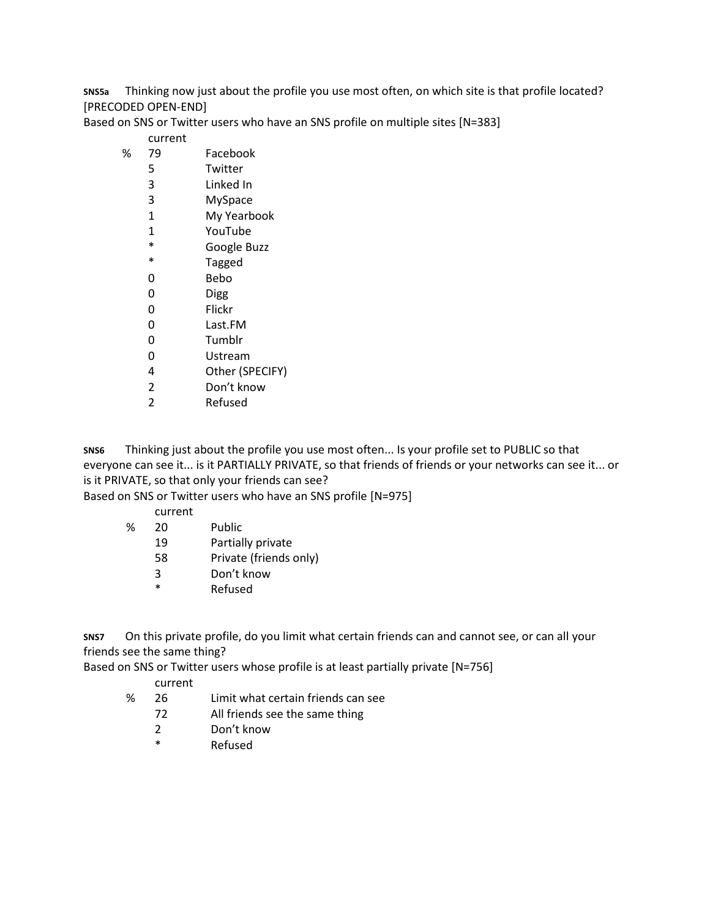**SNS5a** Thinking now just about the profile you use most often, on which site is that profile located? [PRECODED OPEN-END]

Based on SNS or Twitter users who have an SNS profile on multiple sites [N=383]

## current

- % 79 Facebook
	- 5 Twitter
	- 3 Linked In
	- 3 MySpace
	- 1 My Yearbook
	- 1 YouTube
	- \* Google Buzz<br>\* Tagged
	- **Tagged**
	- 0 Bebo
	- 0 Digg
	- 0 Flickr
	- 0 Last.FM
	- 0 Tumblr
	- 0 Ustream
	- 4 Other (SPECIFY)
	- 2 Don't know
	- 2 Refused

**SNS6** Thinking just about the profile you use most often... Is your profile set to PUBLIC so that everyone can see it... is it PARTIALLY PRIVATE, so that friends of friends or your networks can see it... or is it PRIVATE, so that only your friends can see?

Based on SNS or Twitter users who have an SNS profile [N=975]

- current
- % 20 Public
	- 19 Partially private
	- 58 Private (friends only)
	- 3 Don't know
	- \* Refused

**SNS7** On this private profile, do you limit what certain friends can and cannot see, or can all your friends see the same thing?

Based on SNS or Twitter users whose profile is at least partially private [N=756]

## current

- % 26 Limit what certain friends can see
	- 72 All friends see the same thing
		- 2 Don't know
		- \* Refused